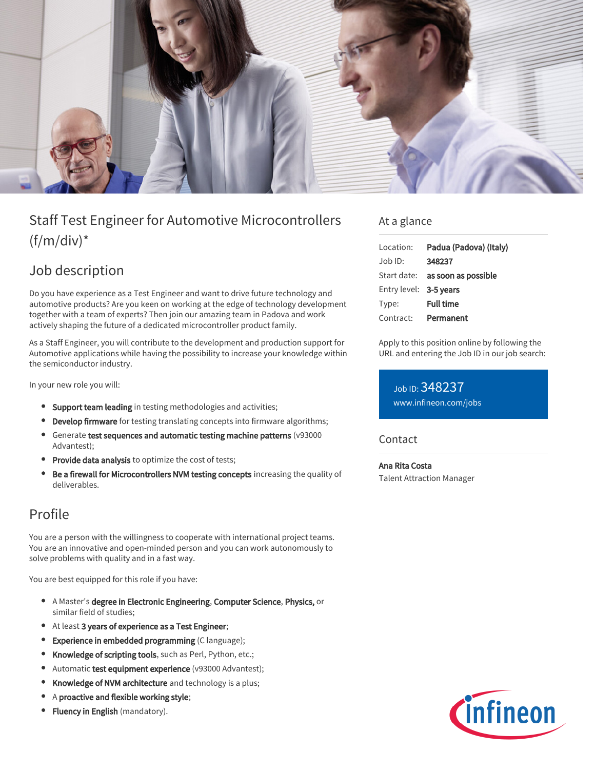

# Staff Test Engineer for Automotive Microcontrollers  $(f/m/div)^*$

## Job description

Do you have experience as a Test Engineer and want to drive future technology and automotive products? Are you keen on working at the edge of technology development together with a team of experts? Then join our amazing team in Padova and work actively shaping the future of a dedicated microcontroller product family.

As a Staff Engineer, you will contribute to the development and production support for Automotive applications while having the possibility to increase your knowledge within the semiconductor industry.

In your new role you will:

- **Support team leading** in testing methodologies and activities;
- Develop firmware for testing translating concepts into firmware algorithms;
- Generate test sequences and automatic testing machine patterns (v93000 Advantest);
- Provide data analysis to optimize the cost of tests;
- Be a firewall for Microcontrollers NVM testing concepts increasing the quality of deliverables.

## Profile

You are a person with the willingness to cooperate with international project teams. You are an innovative and open-minded person and you can work autonomously to solve problems with quality and in a fast way.

You are best equipped for this role if you have:

- A Master's degree in Electronic Engineering, Computer Science, Physics, or similar field of studies;
- At least 3 years of experience as a Test Engineer;
- **•** Experience in embedded programming (C language);
- $\bullet$ Knowledge of scripting tools, such as Perl, Python, etc.;
- Automatic test equipment experience (v93000 Advantest);  $\bullet$
- Knowledge of NVM architecture and technology is a plus;
- A proactive and flexible working style;
- **Fluency in English** (mandatory).

### At a glance

| Location:              | Padua (Padova) (Italy)                 |
|------------------------|----------------------------------------|
| $Job$ ID:              | 348237                                 |
|                        | Start date: <b>as soon as possible</b> |
| Entry level: 3-5 years |                                        |
| Type:                  | <b>Full time</b>                       |
| Contract:              | Permanent                              |

Apply to this position online by following the URL and entering the Job ID in our job search:

Job ID: 348237 [www.infineon.com/jobs](https://www.infineon.com/jobs)

### **Contact**

Ana Rita Costa Talent Attraction Manager